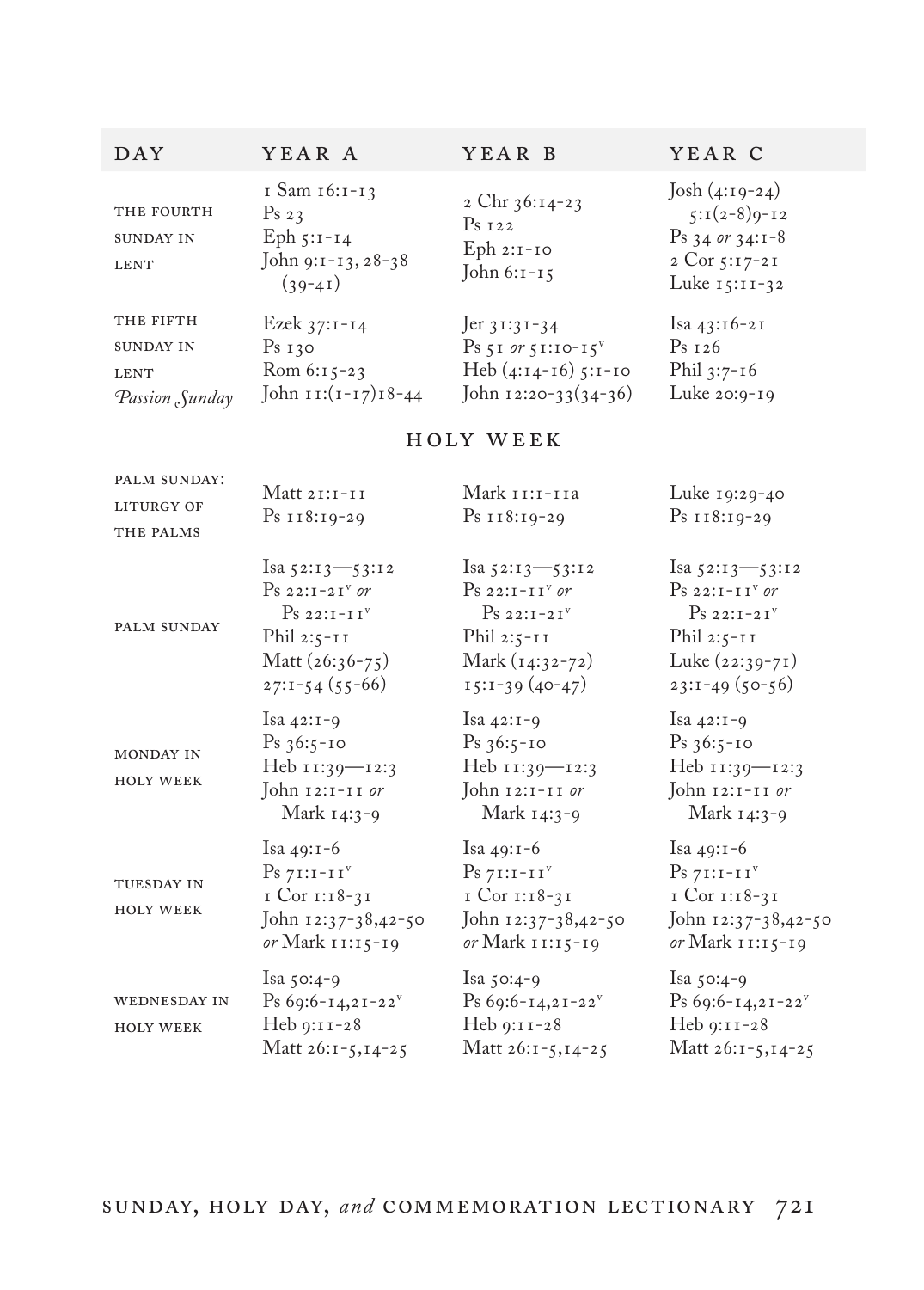| DAY                                                            | YEAR A                                                                               | YEAR B                                                                                                                  | YEAR C                                                                                        |
|----------------------------------------------------------------|--------------------------------------------------------------------------------------|-------------------------------------------------------------------------------------------------------------------------|-----------------------------------------------------------------------------------------------|
| THE FOURTH<br><b>SUNDAY IN</b><br><b>LENT</b>                  | I Sam 16:1-13<br>Ps <sub>23</sub><br>Eph $5:1-14$<br>John 9:1-13, 28-38<br>$(39-41)$ | 2 Chr $36:14-23$<br>$Ps_{I22}$<br>$Eph 2:1-IO$<br>John $6:1-15$                                                         | Josh $(4:19-24)$<br>$5:1(2-8)9-12$<br>$Ps$ 34 or 34:1-8<br>2 Cor $5:17-21$<br>Luke $15:11-32$ |
| THE FIFTH<br><b>SUNDAY IN</b><br><b>LENT</b><br>Passion Sunday | Ezek 37:1-14<br>Ps <sub>130</sub><br>Rom 6:15-23<br>John $\text{II}:(1-17)18-44$     | $\text{Jer } 31:31-34$<br>$\mathrm{Ps}$ 51 or 51:10-15 <sup>v</sup><br>Heb $(4:14-16)$ 5:1-10<br>John $12:20-33(34-36)$ | Isa 43:16-21<br>$Ps_{I26}$<br>Phil $3:7-16$<br>Luke 20:9-19                                   |

## holy week

| PALM SUNDAY:<br><b>LITURGY OF</b><br>THE PALMS | Matt $21:1-11$<br>$Ps$ 118:19-29                                                                                                         | Mark 11:1-11a<br>$Ps$ 118:19-29                                                                                                | Luke 19:29-40<br>Ps 118:19-29                                                                                              |
|------------------------------------------------|------------------------------------------------------------------------------------------------------------------------------------------|--------------------------------------------------------------------------------------------------------------------------------|----------------------------------------------------------------------------------------------------------------------------|
| <b>PALM SUNDAY</b>                             | Isa $52:13 - 53:12$<br>$Ps$ 22:1-21 <sup>v</sup> or<br>Ps 22:TTTT <sup>V</sup><br>Phil $2:5-11$<br>Matt $(26:36-75)$<br>$27:1-54(55-66)$ | Isa $52:13 - 53:12$<br>$Ps$ 22:1-11 <sup>v</sup> or<br>$Ps 22:1-21v$<br>Phil $2:5-11$<br>Mark $(14:32-72)$<br>$15:1-39(40-47)$ | Isa 52:13-53:12<br>$Ps$ 22:1-11 <sup>v</sup> or<br>$Ps 22:1-21v$<br>Phil $2:5-11$<br>Luke $(22:39-71)$<br>$23:1-49(50-56)$ |
| <b>MONDAY IN</b><br><b>HOLY WEEK</b>           | Isa $42:1-9$<br>$Ps_{36:5-10}$<br>Heb 11:39-12:3<br>John 12:1-11 or<br>Mark 14:3-9                                                       | Isa $42:1-9$<br>$Ps_{36:5-10}$<br>Heb 11:39-12:3<br>John 12:1-11 or<br>Mark 14:3-9                                             | Isa $42:1-9$<br>$Ps_{36:5-10}$<br>Heb 11:39-12:3<br>John 12:1-11 or<br>Mark 14:3-9                                         |
| <b>TUESDAY IN</b><br><b>HOLY WEEK</b>          | Isa $49:1-6$<br>$Ps 7I:I-IIv$<br>$ICor II:18-3I$<br>John 12:37-38,42-50<br>or Mark 11:15-19                                              | Isa $49:1-6$<br>$Ps\ 7I:I-IIv$<br>I Cor 1:18-31<br>John 12:37-38,42-50<br>or Mark 11:15-19                                     | Isa $49:1-6$<br>$Ps 7I:I-IIv$<br>I Cor 1:18-31<br>John 12:37-38,42-50<br>or Mark 11:15-19                                  |
| <b>WEDNESDAY IN</b><br><b>HOLY WEEK</b>        | Isa $50:4-9$<br>Ps 69:6-14,21-22 $^v$<br>$Heb 9:11-28$<br>Matt 26:1-5,14-25                                                              | Isa $50:4-9$<br>Ps 69:6-14,21-22 <sup>v</sup><br>$Heb 9:11-28$<br>Matt 26:1-5,14-25                                            | Isa $50:4-9$<br>Ps 69:6-14,21-22 <sup>v</sup><br>$Heb 9:11-28$<br>Matt 26:1-5,14-25                                        |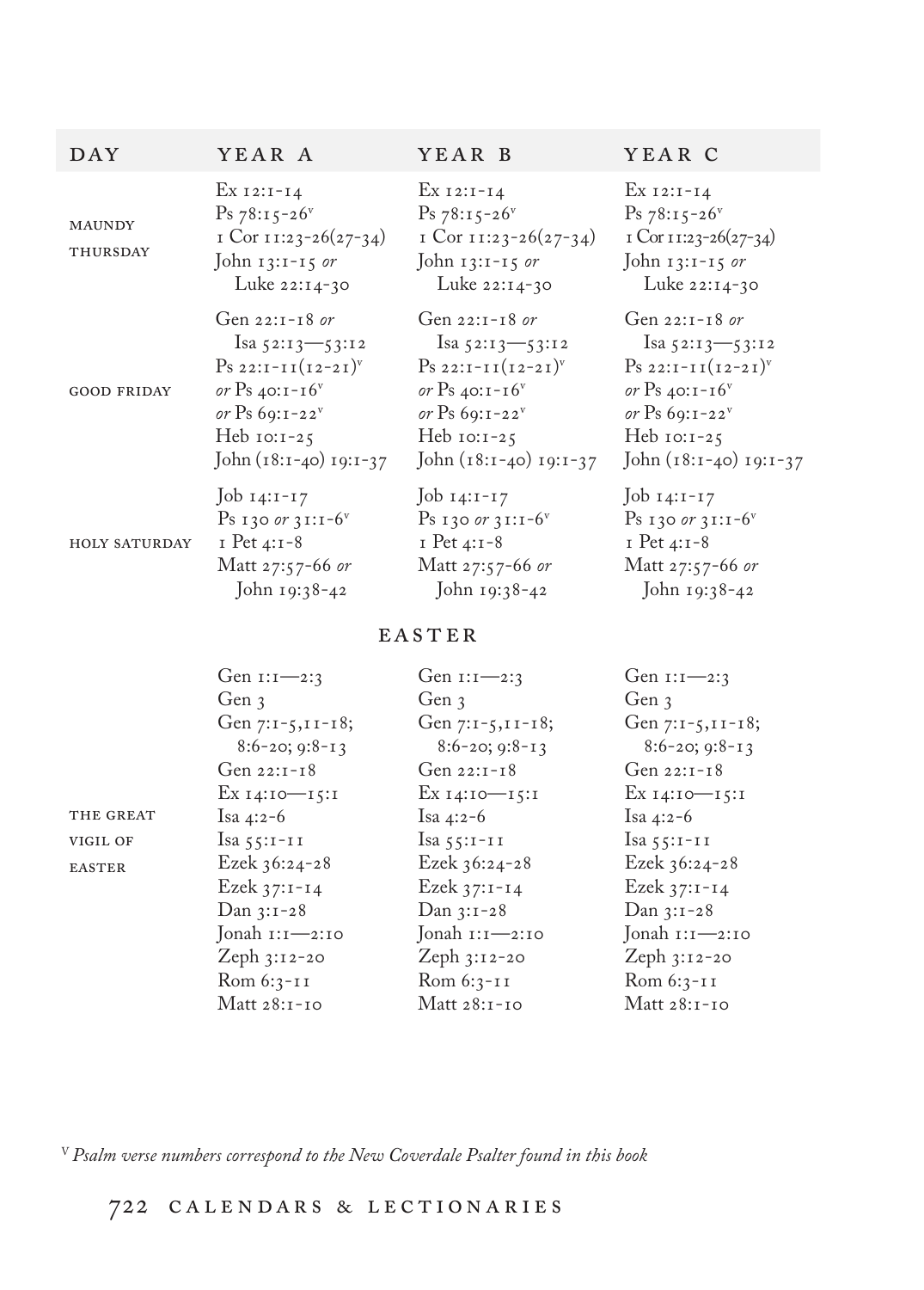| DAY                       | YEAR A                                                                                         | YEAR B                                                                                         | YEAR C                                                                                       |
|---------------------------|------------------------------------------------------------------------------------------------|------------------------------------------------------------------------------------------------|----------------------------------------------------------------------------------------------|
| <b>MAUNDY</b><br>THURSDAY | Ex $12:1-14$<br>$Ps 78:15-26$<br>I Cor 11:23-26(27-34)<br>John $13:1-15$ or<br>Luke $22:14-30$ | $Ex I2:I-I4$<br>$Ps 78:15-26$<br>I Cor $11:23-26(27-34)$<br>John $13:1-15$ or<br>Luke 22:14-30 | $Ex I2:I-I4$<br>$Ps 78:15-26$<br>I Cor 11:23-26(27-34)<br>John $13:1-15$ or<br>Luke 22:14-30 |
| <b>GOOD FRIDAY</b>        | Gen $22:1-18$ or                                                                               | Gen 22:1-18 or                                                                                 | Gen $22:1-18$ or                                                                             |
|                           | $1$ sa 52:13—53:12                                                                             | $1$ sa 52:13—53:12                                                                             | $\text{Isa } 52:13 \rightarrow 53:12$                                                        |
|                           | $P_{S\ 22:I-I}$ $(12-21)^{v}$                                                                  | $P_{S 22:I-I I}$ $(I2-2I)^{v}$                                                                 | $Ps 22:I-II(I2-2I)v$                                                                         |
|                           | or Ps 40:1-16 $v$                                                                              | or Ps 40:1-16 $v$                                                                              | or Ps 40:1-16 <sup>v</sup>                                                                   |
|                           | or Ps $69:1-22^v$                                                                              | or Ps $69:1-22$ <sup>v</sup>                                                                   | or Ps $69:1-22$ <sup>v</sup>                                                                 |
|                           | Heb $10:1-25$                                                                                  | Heb $10:1-25$                                                                                  | Heb $10:1-25$                                                                                |
|                           | John $(18:1-40)$ 19:1-37                                                                       | John $(18:1-40)$ 19:1-37                                                                       | John $(18:1-40)$ 19:1-37                                                                     |
| <b>HOLY SATURDAY</b>      | Job $14:1-17$                                                                                  | Job $14:1-17$                                                                                  | $J$ ob $14:1-17$                                                                             |
|                           | $Ps$ 130 or 31:1-6 <sup>v</sup>                                                                | $Ps$ 130 or 31:1-6 <sup>v</sup>                                                                | $Ps$ 130 or 31:1-6 <sup>v</sup>                                                              |
|                           | $I$ Pet 4:1-8                                                                                  | $I$ Pet 4:1-8                                                                                  | $I$ Pet 4:1-8                                                                                |
|                           | Matt 27:57-66 or                                                                               | Matt 27:57-66 or                                                                               | Matt 27:57-66 or                                                                             |
|                           | John 19:38-42                                                                                  | John $19:38-42$                                                                                | John 19:38-42                                                                                |

## EASTER

|               | Gen $1:1 - 2:3$              | Gen $1:1 - 2:3$              | Gen $1:1 - 2:3$              |
|---------------|------------------------------|------------------------------|------------------------------|
|               | Gen 3                        | Gen 3                        | Gen 3                        |
|               | Gen 7:1-5, 11-18;            | Gen $7:1-5,11-18$ ;          | Gen 7:1-5, 11-18;            |
|               | $8:6-20;9:8-13$              | $8:6-20;9:8-13$              | $8:6-20; 9:8-13$             |
|               | Gen $22:1-18$                | Gen $22:1-18$                | Gen $22:1-18$                |
|               | Ex 14:10—15:1                | Ex 14:10—15:1                | Ex 14:10-15:1                |
| THE GREAT     | Isa 4:2-6                    | Isa 4:2-6                    | Isa 4:2-6                    |
| VIGIL OF      | Isa $55:1-11$                | Isa $55:1-11$                | Isa $55:1-11$                |
| <b>EASTER</b> | Ezek $36:24-28$              | Ezek $36:24-28$              | Ezek $36:24-28$              |
|               | Ezek $37:1 - 14$             | Ezek 37:1-14                 | Ezek 37:1-14                 |
|               | $Dan 3:1-28$                 | Dan 3:1-28                   | $Dan 3:1-28$                 |
|               | Jonah $1:1 \rightarrow 2:10$ | Jonah $i:1 \rightarrow 2:10$ | Jonah $i:1 \rightarrow 2:10$ |
|               | Zeph $3:12-20$               | Zeph $3:12-20$               | Zeph $3:12-20$               |
|               | $Rom 6:3-II$                 | Rom 6:3-11                   | $Rom 6:3-II$                 |
|               | Matt 28:1-10                 | Matt 28:1-10                 | Matt 28:1-10                 |
|               |                              |                              |                              |

V *Psalm verse numbers correspond to the New Coverdale Psalter found in this book*

## 722 c a l e n d a r s & l e c t i o n a r i e s